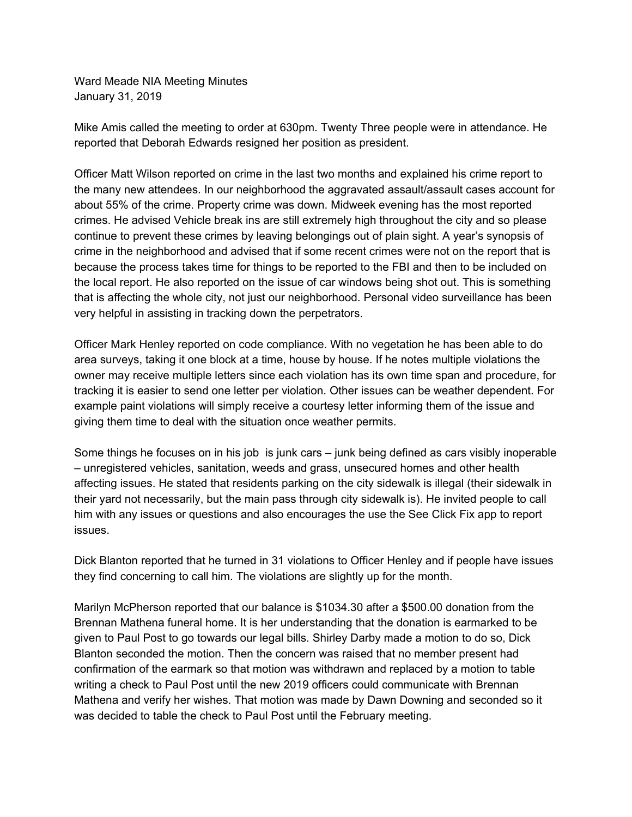Ward Meade NIA Meeting Minutes January 31, 2019

Mike Amis called the meeting to order at 630pm. Twenty Three people were in attendance. He reported that Deborah Edwards resigned her position as president.

Officer Matt Wilson reported on crime in the last two months and explained his crime report to the many new attendees. In our neighborhood the aggravated assault/assault cases account for about 55% of the crime. Property crime was down. Midweek evening has the most reported crimes. He advised Vehicle break ins are still extremely high throughout the city and so please continue to prevent these crimes by leaving belongings out of plain sight. A year's synopsis of crime in the neighborhood and advised that if some recent crimes were not on the report that is because the process takes time for things to be reported to the FBI and then to be included on the local report. He also reported on the issue of car windows being shot out. This is something that is affecting the whole city, not just our neighborhood. Personal video surveillance has been very helpful in assisting in tracking down the perpetrators.

Officer Mark Henley reported on code compliance. With no vegetation he has been able to do area surveys, taking it one block at a time, house by house. If he notes multiple violations the owner may receive multiple letters since each violation has its own time span and procedure, for tracking it is easier to send one letter per violation. Other issues can be weather dependent. For example paint violations will simply receive a courtesy letter informing them of the issue and giving them time to deal with the situation once weather permits.

Some things he focuses on in his job is junk cars – junk being defined as cars visibly inoperable – unregistered vehicles, sanitation, weeds and grass, unsecured homes and other health affecting issues. He stated that residents parking on the city sidewalk is illegal (their sidewalk in their yard not necessarily, but the main pass through city sidewalk is). He invited people to call him with any issues or questions and also encourages the use the See Click Fix app to report issues.

Dick Blanton reported that he turned in 31 violations to Officer Henley and if people have issues they find concerning to call him. The violations are slightly up for the month.

Marilyn McPherson reported that our balance is \$1034.30 after a \$500.00 donation from the Brennan Mathena funeral home. It is her understanding that the donation is earmarked to be given to Paul Post to go towards our legal bills. Shirley Darby made a motion to do so, Dick Blanton seconded the motion. Then the concern was raised that no member present had confirmation of the earmark so that motion was withdrawn and replaced by a motion to table writing a check to Paul Post until the new 2019 officers could communicate with Brennan Mathena and verify her wishes. That motion was made by Dawn Downing and seconded so it was decided to table the check to Paul Post until the February meeting.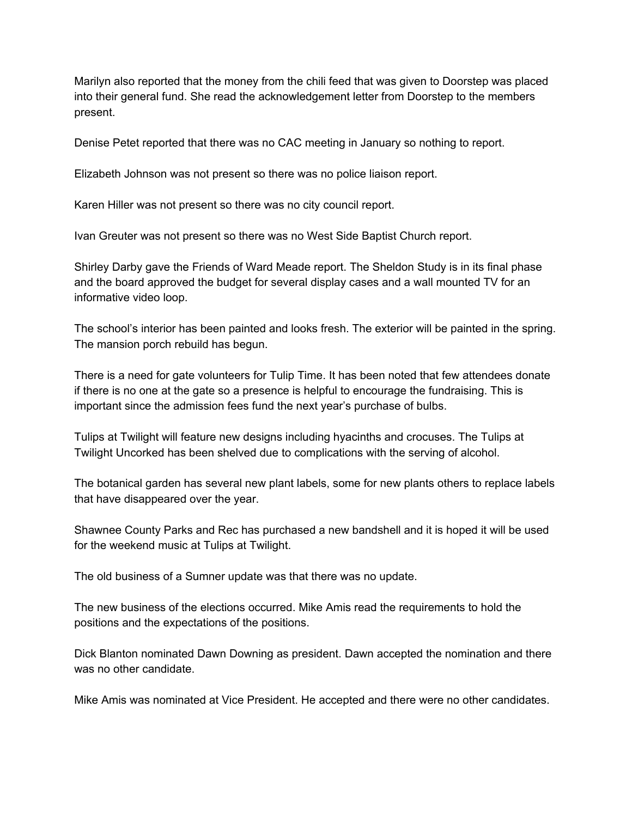Marilyn also reported that the money from the chili feed that was given to Doorstep was placed into their general fund. She read the acknowledgement letter from Doorstep to the members present.

Denise Petet reported that there was no CAC meeting in January so nothing to report.

Elizabeth Johnson was not present so there was no police liaison report.

Karen Hiller was not present so there was no city council report.

Ivan Greuter was not present so there was no West Side Baptist Church report.

Shirley Darby gave the Friends of Ward Meade report. The Sheldon Study is in its final phase and the board approved the budget for several display cases and a wall mounted TV for an informative video loop.

The school's interior has been painted and looks fresh. The exterior will be painted in the spring. The mansion porch rebuild has begun.

There is a need for gate volunteers for Tulip Time. It has been noted that few attendees donate if there is no one at the gate so a presence is helpful to encourage the fundraising. This is important since the admission fees fund the next year's purchase of bulbs.

Tulips at Twilight will feature new designs including hyacinths and crocuses. The Tulips at Twilight Uncorked has been shelved due to complications with the serving of alcohol.

The botanical garden has several new plant labels, some for new plants others to replace labels that have disappeared over the year.

Shawnee County Parks and Rec has purchased a new bandshell and it is hoped it will be used for the weekend music at Tulips at Twilight.

The old business of a Sumner update was that there was no update.

The new business of the elections occurred. Mike Amis read the requirements to hold the positions and the expectations of the positions.

Dick Blanton nominated Dawn Downing as president. Dawn accepted the nomination and there was no other candidate.

Mike Amis was nominated at Vice President. He accepted and there were no other candidates.